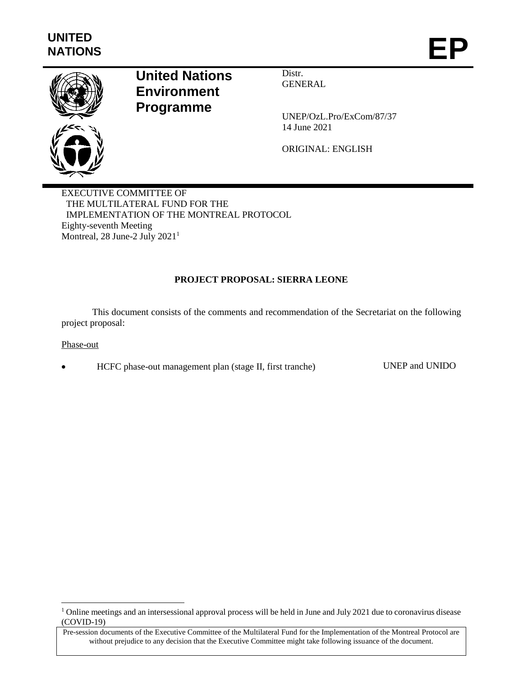

# **United Nations Environment Programme**

Distr. **GENERAL** 

UNEP/OzL.Pro/ExCom/87/37 14 June 2021

ORIGINAL: ENGLISH

EXECUTIVE COMMITTEE OF THE MULTILATERAL FUND FOR THE IMPLEMENTATION OF THE MONTREAL PROTOCOL Eighty-seventh Meeting Montreal, 28 June-2 July 2021<sup>1</sup>

# **PROJECT PROPOSAL: SIERRA LEONE**

This document consists of the comments and recommendation of the Secretariat on the following project proposal:

Phase-out

l

HCFC phase-out management plan (stage II, first tranche) UNEP and UNIDO

<sup>&</sup>lt;sup>1</sup> Online meetings and an intersessional approval process will be held in June and July 2021 due to coronavirus disease (COVID-19)

Pre-session documents of the Executive Committee of the Multilateral Fund for the Implementation of the Montreal Protocol are without prejudice to any decision that the Executive Committee might take following issuance of the document.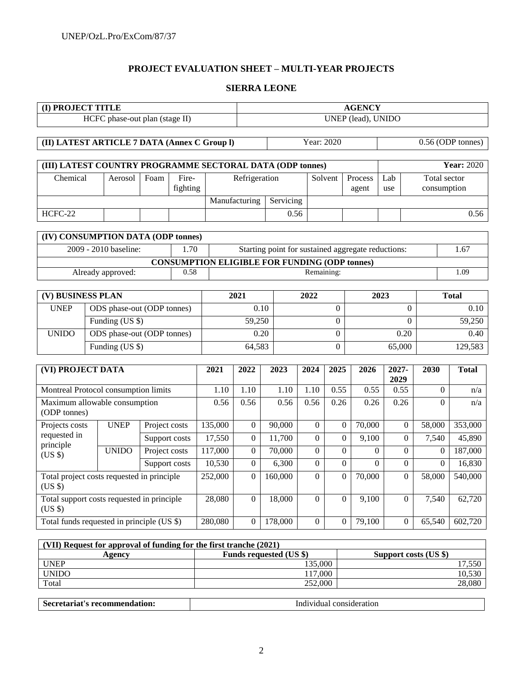# **PROJECT EVALUATION SHEET – MULTI-YEAR PROJECTS**

# **SIERRA LEONE**

| (I) PROJECT TITLE                                                     |  |                                |               | <b>AGENCY</b>  |         |                                  |           |                  |                                |                  |                                                    |                   |                  |                                    |                    |  |
|-----------------------------------------------------------------------|--|--------------------------------|---------------|----------------|---------|----------------------------------|-----------|------------------|--------------------------------|------------------|----------------------------------------------------|-------------------|------------------|------------------------------------|--------------------|--|
|                                                                       |  | HCFC phase-out plan (stage II) |               |                |         | UNEP (lead), UNIDO               |           |                  |                                |                  |                                                    |                   |                  |                                    |                    |  |
|                                                                       |  |                                |               |                |         |                                  |           |                  |                                |                  |                                                    |                   |                  |                                    |                    |  |
| (II) LATEST ARTICLE 7 DATA (Annex C Group I)                          |  |                                |               |                |         |                                  |           |                  |                                | Year: 2020       |                                                    | 0.56 (ODP tonnes) |                  |                                    |                    |  |
|                                                                       |  |                                |               |                |         |                                  |           |                  |                                |                  |                                                    |                   |                  |                                    | <b>Year: 2020</b>  |  |
| (III) LATEST COUNTRY PROGRAMME SECTORAL DATA (ODP tonnes)<br>Chemical |  |                                | Foam          | Fire-          |         |                                  |           |                  |                                |                  |                                                    |                   |                  |                                    |                    |  |
|                                                                       |  | Aerosol                        |               | fighting       |         | Refrigeration                    |           |                  |                                | Solvent          | Process<br>agent                                   | Lab<br>use        |                  | <b>Total</b> sector<br>consumption |                    |  |
|                                                                       |  |                                |               |                |         | Manufacturing                    | Servicing |                  |                                |                  |                                                    |                   |                  |                                    |                    |  |
| HCFC-22                                                               |  |                                |               |                |         |                                  |           | 0.56             |                                |                  |                                                    |                   |                  |                                    | 0.56               |  |
|                                                                       |  |                                |               |                |         |                                  |           |                  |                                |                  |                                                    |                   |                  |                                    |                    |  |
| (IV) CONSUMPTION DATA (ODP tonnes)                                    |  |                                |               |                |         |                                  |           |                  |                                |                  |                                                    |                   |                  |                                    |                    |  |
|                                                                       |  | 2009 - 2010 baseline:          |               | 1.70           |         |                                  |           |                  |                                |                  | Starting point for sustained aggregate reductions: |                   |                  |                                    | 1.67               |  |
| <b>CONSUMPTION ELIGIBLE FOR FUNDING (ODP tonnes)</b>                  |  |                                |               |                |         |                                  |           |                  |                                |                  |                                                    |                   |                  |                                    |                    |  |
| 0.58<br>Already approved:                                             |  |                                |               |                |         |                                  |           | Remaining:       |                                |                  |                                                    |                   |                  | 1.09                               |                    |  |
|                                                                       |  |                                |               |                |         | 2021<br>2022                     |           |                  |                                |                  |                                                    |                   |                  |                                    |                    |  |
| (V) BUSINESS PLAN                                                     |  |                                |               |                |         | 0.10                             |           |                  | 2023                           |                  |                                                    |                   | <b>Total</b>     |                                    |                    |  |
| <b>UNEP</b>                                                           |  | ODS phase-out (ODP tonnes)     |               |                |         |                                  |           |                  |                                | 0                |                                                    |                   | 0.10<br>$\theta$ |                                    |                    |  |
|                                                                       |  | Funding (US \$)                |               |                |         | 59,250                           |           |                  |                                | $\boldsymbol{0}$ |                                                    |                   | $\boldsymbol{0}$ |                                    | 59,250<br>0.40     |  |
| <b>UNIDO</b>                                                          |  | ODS phase-out (ODP tonnes)     |               |                |         | 0.20                             |           |                  |                                | $\boldsymbol{0}$ |                                                    |                   | 0.20             |                                    |                    |  |
|                                                                       |  | Funding (US \$)                |               |                |         | 64,583                           |           |                  |                                | 0                |                                                    | 65,000            |                  | 129,583                            |                    |  |
| (VI) PROJECT DATA                                                     |  |                                |               |                | 2021    | 2022                             | 2023      |                  | 2024                           | 2025             | 2026                                               | 2027-             |                  | 2030                               | <b>Total</b>       |  |
|                                                                       |  |                                |               |                |         |                                  |           |                  |                                |                  |                                                    | 2029              |                  |                                    |                    |  |
| Montreal Protocol consumption limits                                  |  |                                |               |                | 1.10    | $\overline{1.10}$                | 1.10      |                  | $\overline{1.10}$              | 0.55             | 0.55                                               | 0.55              |                  | $\boldsymbol{0}$                   | n/a                |  |
| Maximum allowable consumption                                         |  |                                |               |                | 0.56    | 0.56                             | 0.56      |                  | 0.56                           | 0.26             | 0.26                                               | 0.26              |                  | $\Omega$                           | n/a                |  |
| (ODP tonnes)<br>Projects costs                                        |  | <b>UNEP</b>                    | Project costs |                | 135,000 | $\boldsymbol{0}$                 | 90,000    |                  |                                | $\boldsymbol{0}$ | 70,000                                             |                   | $\boldsymbol{0}$ | 58,000                             | 353,000            |  |
| requested in                                                          |  |                                |               |                | 17,550  | $\boldsymbol{0}$                 | 11,700    |                  | $\overline{0}$<br>$\Omega$     | $\Omega$         | 9,100                                              |                   | $\overline{0}$   | 7,540                              | 45,890             |  |
| principle                                                             |  | <b>UNIDO</b>                   | Support costs |                | 117,000 |                                  |           |                  |                                |                  |                                                    |                   | $\Omega$         |                                    | 187,000            |  |
| (US \$)                                                               |  |                                | Project costs |                | 10,530  | $\overline{0}$<br>$\overline{0}$ | 70,000    |                  | $\mathbf{0}$<br>$\overline{0}$ | $\Omega$         | $\Omega$                                           |                   |                  | $\mathbf{0}$                       |                    |  |
|                                                                       |  |                                | Support costs |                |         |                                  | 6,300     |                  | $\overline{0}$                 | $\boldsymbol{0}$ | $\Omega$                                           |                   | $\boldsymbol{0}$ |                                    | $\Omega$<br>16,830 |  |
| Total project costs requested in principle<br>(US \$)                 |  |                                | 252,000       | $\overline{0}$ | 160,000 |                                  |           | $\overline{0}$   | 70,000                         |                  | $\overline{0}$                                     | 58,000            | 540,000          |                                    |                    |  |
| Total support costs requested in principle<br>(US \$)                 |  |                                | 28,080        | $\overline{0}$ | 18,000  |                                  | $\Omega$  | $\boldsymbol{0}$ | 9,100                          |                  | $\Omega$                                           | 7,540             | 62,720           |                                    |                    |  |
| Total funds requested in principle (US \$)                            |  |                                |               |                | 280,080 | $\Omega$                         | 178,000   |                  | $\overline{0}$                 | $\boldsymbol{0}$ | 79,100                                             |                   | $\Omega$         | 65,540                             | 602,720            |  |

| (VII) Request for approval of funding for the first tranche (2021) |                                |                       |  |  |  |  |  |  |
|--------------------------------------------------------------------|--------------------------------|-----------------------|--|--|--|--|--|--|
| Agency                                                             | <b>Funds requested (US \$)</b> | Support costs (US \$) |  |  |  |  |  |  |
| <b>UNEP</b>                                                        | 135.000                        | 1,550                 |  |  |  |  |  |  |
| <b>UNIDO</b>                                                       | 117.000                        | 10.530                |  |  |  |  |  |  |
| Total                                                              | 252,000                        | 28,080                |  |  |  |  |  |  |
|                                                                    |                                |                       |  |  |  |  |  |  |

| . . | וני<br>. |
|-----|----------|
|     |          |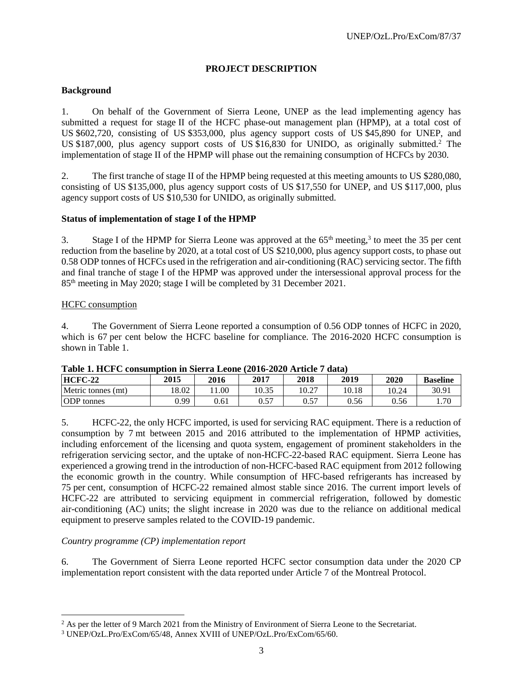### **PROJECT DESCRIPTION**

### **Background**

1. On behalf of the Government of Sierra Leone, UNEP as the lead implementing agency has submitted a request for stage II of the HCFC phase-out management plan (HPMP), at a total cost of US \$602,720, consisting of US \$353,000, plus agency support costs of US \$45,890 for UNEP, and US \$187,000, plus agency support costs of US \$16,830 for UNIDO, as originally submitted.<sup>2</sup> The implementation of stage II of the HPMP will phase out the remaining consumption of HCFCs by 2030.

2. The first tranche of stage II of the HPMP being requested at this meeting amounts to US \$280,080, consisting of US \$135,000, plus agency support costs of US \$17,550 for UNEP, and US \$117,000, plus agency support costs of US \$10,530 for UNIDO, as originally submitted.

### **Status of implementation of stage I of the HPMP**

3. Stage I of the HPMP for Sierra Leone was approved at the  $65<sup>th</sup>$  meeting,<sup>3</sup> to meet the 35 per cent reduction from the baseline by 2020, at a total cost of US \$210,000, plus agency support costs, to phase out 0.58 ODP tonnes of HCFCs used in the refrigeration and air-conditioning (RAC) servicing sector. The fifth and final tranche of stage I of the HPMP was approved under the intersessional approval process for the 85th meeting in May 2020; stage I will be completed by 31 December 2021.

#### HCFC consumption

4. The Government of Sierra Leone reported a consumption of 0.56 ODP tonnes of HCFC in 2020, which is 67 per cent below the HCFC baseline for compliance. The 2016-2020 HCFC consumption is shown in Table 1.

| Table 1. Here consumption in Sicria Econe (2010-2020 Article / Gata) |       |      |       |       |       |       |                 |  |  |  |  |
|----------------------------------------------------------------------|-------|------|-------|-------|-------|-------|-----------------|--|--|--|--|
| $HCFC-22$                                                            | 2015  | 2016 | 2017  | 2018  | 2019  | 2020  | <b>Baseline</b> |  |  |  |  |
| Metric tonnes (mt)                                                   | 18.02 | .00  | 10.35 | 10.27 | 10.18 | 10.24 | 30.91           |  |  |  |  |
| <b>ODP</b> tonnes                                                    | 0.99  | 0.61 |       |       | 0.56  | 0.56  | .70             |  |  |  |  |

#### **Table 1. HCFC consumption in Sierra Leone (2016-2020 Article 7 data)**

5. HCFC-22, the only HCFC imported, is used for servicing RAC equipment. There is a reduction of consumption by 7 mt between 2015 and 2016 attributed to the implementation of HPMP activities, including enforcement of the licensing and quota system, engagement of prominent stakeholders in the refrigeration servicing sector, and the uptake of non-HCFC-22-based RAC equipment. Sierra Leone has experienced a growing trend in the introduction of non-HCFC-based RAC equipment from 2012 following the economic growth in the country. While consumption of HFC-based refrigerants has increased by 75 per cent, consumption of HCFC-22 remained almost stable since 2016. The current import levels of HCFC-22 are attributed to servicing equipment in commercial refrigeration, followed by domestic air-conditioning (AC) units; the slight increase in 2020 was due to the reliance on additional medical equipment to preserve samples related to the COVID-19 pandemic.

### *Country programme (CP) implementation report*

6. The Government of Sierra Leone reported HCFC sector consumption data under the 2020 CP implementation report consistent with the data reported under Article 7 of the Montreal Protocol.

l <sup>2</sup> As per the letter of 9 March 2021 from the Ministry of Environment of Sierra Leone to the Secretariat.

<sup>3</sup> UNEP/OzL.Pro/ExCom/65/48, Annex XVIII of UNEP/OzL.Pro/ExCom/65/60.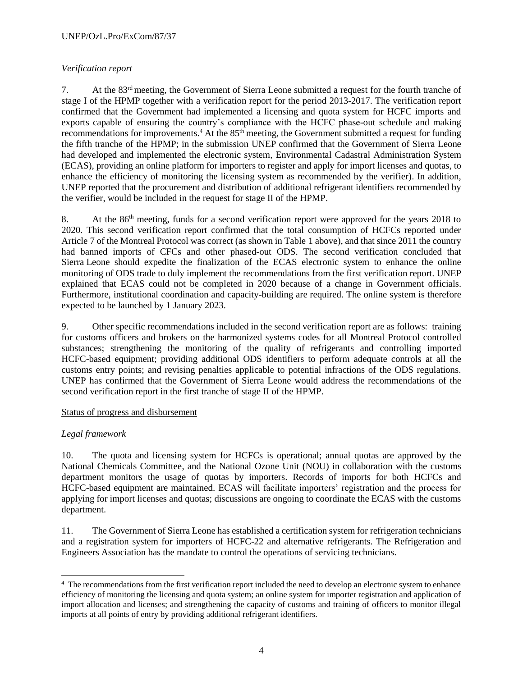# *Verification report*

7. At the  $83<sup>rd</sup>$  meeting, the Government of Sierra Leone submitted a request for the fourth tranche of stage I of the HPMP together with a verification report for the period 2013-2017. The verification report confirmed that the Government had implemented a licensing and quota system for HCFC imports and exports capable of ensuring the country's compliance with the HCFC phase-out schedule and making recommendations for improvements.<sup>4</sup> At the 85<sup>th</sup> meeting, the Government submitted a request for funding the fifth tranche of the HPMP; in the submission UNEP confirmed that the Government of Sierra Leone had developed and implemented the electronic system, Environmental Cadastral Administration System (ECAS), providing an online platform for importers to register and apply for import licenses and quotas, to enhance the efficiency of monitoring the licensing system as recommended by the verifier). In addition, UNEP reported that the procurement and distribution of additional refrigerant identifiers recommended by the verifier, would be included in the request for stage II of the HPMP.

8. At the 86<sup>th</sup> meeting, funds for a second verification report were approved for the years 2018 to 2020. This second verification report confirmed that the total consumption of HCFCs reported under Article 7 of the Montreal Protocol was correct (as shown in Table 1 above), and that since 2011 the country had banned imports of CFCs and other phased-out ODS. The second verification concluded that Sierra Leone should expedite the finalization of the ECAS electronic system to enhance the online monitoring of ODS trade to duly implement the recommendations from the first verification report. UNEP explained that ECAS could not be completed in 2020 because of a change in Government officials. Furthermore, institutional coordination and capacity-building are required. The online system is therefore expected to be launched by 1 January 2023.

9. Other specific recommendations included in the second verification report are as follows: training for customs officers and brokers on the harmonized systems codes for all Montreal Protocol controlled substances; strengthening the monitoring of the quality of refrigerants and controlling imported HCFC-based equipment; providing additional ODS identifiers to perform adequate controls at all the customs entry points; and revising penalties applicable to potential infractions of the ODS regulations. UNEP has confirmed that the Government of Sierra Leone would address the recommendations of the second verification report in the first tranche of stage II of the HPMP.

### Status of progress and disbursement

### *Legal framework*

10. The quota and licensing system for HCFCs is operational; annual quotas are approved by the National Chemicals Committee, and the National Ozone Unit (NOU) in collaboration with the customs department monitors the usage of quotas by importers. Records of imports for both HCFCs and HCFC-based equipment are maintained. ECAS will facilitate importers' registration and the process for applying for import licenses and quotas; discussions are ongoing to coordinate the ECAS with the customs department.

11. The Government of Sierra Leone has established a certification system for refrigeration technicians and a registration system for importers of HCFC-22 and alternative refrigerants. The Refrigeration and Engineers Association has the mandate to control the operations of servicing technicians.

l <sup>4</sup> The recommendations from the first verification report included the need to develop an electronic system to enhance efficiency of monitoring the licensing and quota system; an online system for importer registration and application of import allocation and licenses; and strengthening the capacity of customs and training of officers to monitor illegal imports at all points of entry by providing additional refrigerant identifiers.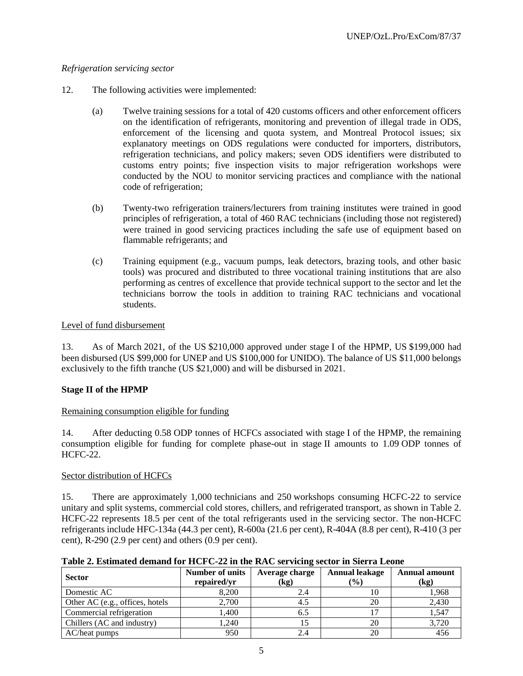### *Refrigeration servicing sector*

- 12. The following activities were implemented:
	- (a) Twelve training sessions for a total of 420 customs officers and other enforcement officers on the identification of refrigerants, monitoring and prevention of illegal trade in ODS, enforcement of the licensing and quota system, and Montreal Protocol issues; six explanatory meetings on ODS regulations were conducted for importers, distributors, refrigeration technicians, and policy makers; seven ODS identifiers were distributed to customs entry points; five inspection visits to major refrigeration workshops were conducted by the NOU to monitor servicing practices and compliance with the national code of refrigeration;
	- (b) Twenty-two refrigeration trainers/lecturers from training institutes were trained in good principles of refrigeration, a total of 460 RAC technicians (including those not registered) were trained in good servicing practices including the safe use of equipment based on flammable refrigerants; and
	- (c) Training equipment (e.g., vacuum pumps, leak detectors, brazing tools, and other basic tools) was procured and distributed to three vocational training institutions that are also performing as centres of excellence that provide technical support to the sector and let the technicians borrow the tools in addition to training RAC technicians and vocational students.

### Level of fund disbursement

13. As of March 2021, of the US \$210,000 approved under stage I of the HPMP, US \$199,000 had been disbursed (US \$99,000 for UNEP and US \$100,000 for UNIDO). The balance of US \$11,000 belongs exclusively to the fifth tranche (US \$21,000) and will be disbursed in 2021.

### **Stage II of the HPMP**

### Remaining consumption eligible for funding

14. After deducting 0.58 ODP tonnes of HCFCs associated with stage I of the HPMP, the remaining consumption eligible for funding for complete phase-out in stage II amounts to 1.09 ODP tonnes of HCFC-22.

### Sector distribution of HCFCs

15. There are approximately 1,000 technicians and 250 workshops consuming HCFC-22 to service unitary and split systems, commercial cold stores, chillers, and refrigerated transport, as shown in Table 2. HCFC-22 represents 18.5 per cent of the total refrigerants used in the servicing sector. The non-HCFC refrigerants include HFC-134a (44.3 per cent), R-600a (21.6 per cent), R-404A (8.8 per cent), R-410 (3 per cent), R-290 (2.9 per cent) and others (0.9 per cent).

|  | Table 2. Estimated demand for HCFC-22 in the RAC servicing sector in Sierra Leone |  |  |
|--|-----------------------------------------------------------------------------------|--|--|
|  |                                                                                   |  |  |

| <b>Sector</b>                   | Number of units<br>repaired/yr | Average charge<br>(kg) | Annual leakage<br>$($ %) | <b>Annual amount</b><br>(kg) |  |
|---------------------------------|--------------------------------|------------------------|--------------------------|------------------------------|--|
| Domestic AC                     | 8.200                          | 2.4                    | 10                       | 1,968                        |  |
| Other AC (e.g., offices, hotels | 2,700                          | 4.5                    | 20                       | 2,430                        |  |
| Commercial refrigeration        | 1.400                          | 6.5                    |                          | 1,547                        |  |
| Chillers (AC and industry)      | 1,240                          |                        | 20                       | 3,720                        |  |
| AC/heat pumps                   | 950                            |                        | 20                       |                              |  |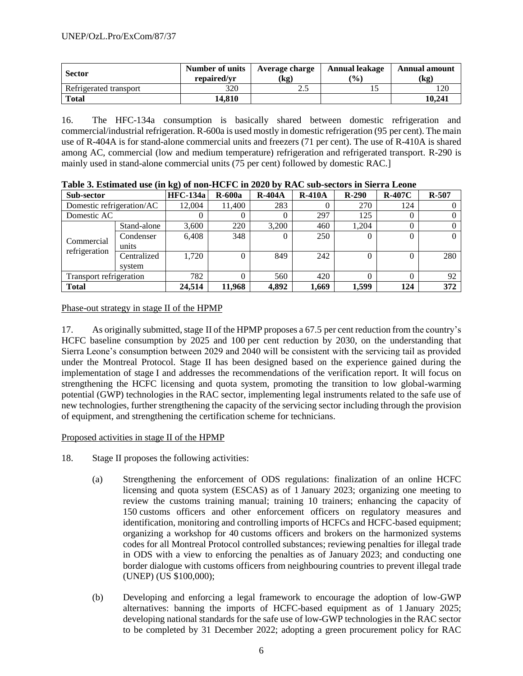| <b>Sector</b>          | Number of units<br>repaired/vr | Average charge<br>(kg) | <b>Annual leakage</b><br>$\mathcal{O}(6)$ | <b>Annual amount</b><br>(kg) |
|------------------------|--------------------------------|------------------------|-------------------------------------------|------------------------------|
| Refrigerated transport | 320                            | ۷.,                    |                                           | 120                          |
| <b>Total</b>           | 14.810                         |                        |                                           | 10.241                       |

16. The HFC-134a consumption is basically shared between domestic refrigeration and commercial/industrial refrigeration. R-600a is used mostly in domestic refrigeration (95 per cent). The main use of R-404A is for stand-alone commercial units and freezers (71 per cent). The use of R-410A is shared among AC, commercial (low and medium temperature) refrigeration and refrigerated transport. R-290 is mainly used in stand-alone commercial units (75 per cent) followed by domestic RAC.]

| Sub-sector                |             | <b>HFC-134a</b> | $R-600a$ | <b>R-404A</b> | <b>R-410A</b> | $R-290$  | $R-407C$ | $R-507$ |
|---------------------------|-------------|-----------------|----------|---------------|---------------|----------|----------|---------|
| Domestic refrigeration/AC |             | 12.004          | 11,400   | 283           |               | 270      | 124      |         |
| Domestic AC               |             |                 | 0        |               | 297           | 125      | $\theta$ |         |
|                           | Stand-alone | 3,600           | 220      | 3,200         | 460           | 1,204    |          |         |
| Commercial                | Condenser   | 6.408           | 348      | $\left($      | 250           | $\Omega$ | 0        |         |
| refrigeration             | units       |                 |          |               |               |          |          |         |
|                           | Centralized | 1,720           | $\Omega$ | 849           | 242           | 0        |          | 280     |
|                           | system      |                 |          |               |               |          |          |         |
| Transport refrigeration   |             | 782             | 0        | 560           | 420           |          |          | 92      |
| <b>Total</b>              |             | 24,514          | 11,968   | 4,892         | 1,669         | 1,599    | 124      | 372     |

|--|

# Phase-out strategy in stage II of the HPMP

17. As originally submitted, stage II of the HPMP proposes a 67.5 per cent reduction from the country's HCFC baseline consumption by 2025 and 100 per cent reduction by 2030, on the understanding that Sierra Leone's consumption between 2029 and 2040 will be consistent with the servicing tail as provided under the Montreal Protocol. Stage II has been designed based on the experience gained during the implementation of stage I and addresses the recommendations of the verification report. It will focus on strengthening the HCFC licensing and quota system, promoting the transition to low global-warming potential (GWP) technologies in the RAC sector, implementing legal instruments related to the safe use of new technologies, further strengthening the capacity of the servicing sector including through the provision of equipment, and strengthening the certification scheme for technicians.

### Proposed activities in stage II of the HPMP

- 18. Stage II proposes the following activities:
	- (a) Strengthening the enforcement of ODS regulations: finalization of an online HCFC licensing and quota system (ESCAS) as of 1 January 2023; organizing one meeting to review the customs training manual; training 10 trainers; enhancing the capacity of 150 customs officers and other enforcement officers on regulatory measures and identification, monitoring and controlling imports of HCFCs and HCFC-based equipment; organizing a workshop for 40 customs officers and brokers on the harmonized systems codes for all Montreal Protocol controlled substances; reviewing penalties for illegal trade in ODS with a view to enforcing the penalties as of January 2023; and conducting one border dialogue with customs officers from neighbouring countries to prevent illegal trade (UNEP) (US \$100,000);
	- (b) Developing and enforcing a legal framework to encourage the adoption of low-GWP alternatives: banning the imports of HCFC-based equipment as of 1 January 2025; developing national standards for the safe use of low-GWP technologies in the RAC sector to be completed by 31 December 2022; adopting a green procurement policy for RAC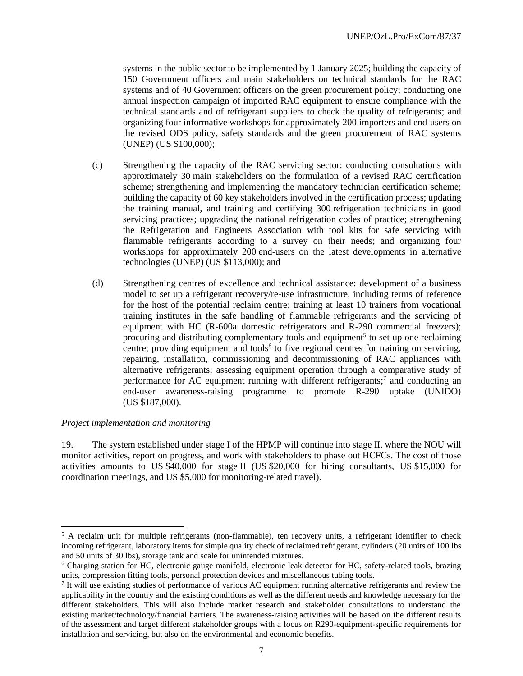systems in the public sector to be implemented by 1 January 2025; building the capacity of 150 Government officers and main stakeholders on technical standards for the RAC systems and of 40 Government officers on the green procurement policy; conducting one annual inspection campaign of imported RAC equipment to ensure compliance with the technical standards and of refrigerant suppliers to check the quality of refrigerants; and organizing four informative workshops for approximately 200 importers and end-users on the revised ODS policy, safety standards and the green procurement of RAC systems (UNEP) (US \$100,000);

- (c) Strengthening the capacity of the RAC servicing sector: conducting consultations with approximately 30 main stakeholders on the formulation of a revised RAC certification scheme; strengthening and implementing the mandatory technician certification scheme; building the capacity of 60 key stakeholders involved in the certification process; updating the training manual, and training and certifying 300 refrigeration technicians in good servicing practices; upgrading the national refrigeration codes of practice; strengthening the Refrigeration and Engineers Association with tool kits for safe servicing with flammable refrigerants according to a survey on their needs; and organizing four workshops for approximately 200 end-users on the latest developments in alternative technologies (UNEP) (US \$113,000); and
- (d) Strengthening centres of excellence and technical assistance: development of a business model to set up a refrigerant recovery/re-use infrastructure, including terms of reference for the host of the potential reclaim centre; training at least 10 trainers from vocational training institutes in the safe handling of flammable refrigerants and the servicing of equipment with HC (R-600a domestic refrigerators and R-290 commercial freezers); procuring and distributing complementary tools and equipment<sup>5</sup> to set up one reclaiming centre; providing equipment and tools<sup>6</sup> to five regional centres for training on servicing, repairing, installation, commissioning and decommissioning of RAC appliances with alternative refrigerants; assessing equipment operation through a comparative study of performance for AC equipment running with different refrigerants;<sup>7</sup> and conducting an end-user awareness-raising programme to promote R-290 uptake (UNIDO) (US \$187,000).

### *Project implementation and monitoring*

l

19. The system established under stage I of the HPMP will continue into stage II, where the NOU will monitor activities, report on progress, and work with stakeholders to phase out HCFCs. The cost of those activities amounts to US \$40,000 for stage II (US \$20,000 for hiring consultants, US \$15,000 for coordination meetings, and US \$5,000 for monitoring-related travel).

 $5$  A reclaim unit for multiple refrigerants (non-flammable), ten recovery units, a refrigerant identifier to check incoming refrigerant, laboratory items for simple quality check of reclaimed refrigerant, cylinders (20 units of 100 lbs and 50 units of 30 lbs), storage tank and scale for unintended mixtures.

<sup>6</sup> Charging station for HC, electronic gauge manifold, electronic leak detector for HC, safety-related tools, brazing units, compression fitting tools, personal protection devices and miscellaneous tubing tools.

 $7$  It will use existing studies of performance of various AC equipment running alternative refrigerants and review the applicability in the country and the existing conditions as well as the different needs and knowledge necessary for the different stakeholders. This will also include market research and stakeholder consultations to understand the existing market/technology/financial barriers. The awareness-raising activities will be based on the different results of the assessment and target different stakeholder groups with a focus on R290-equipment-specific requirements for installation and servicing, but also on the environmental and economic benefits.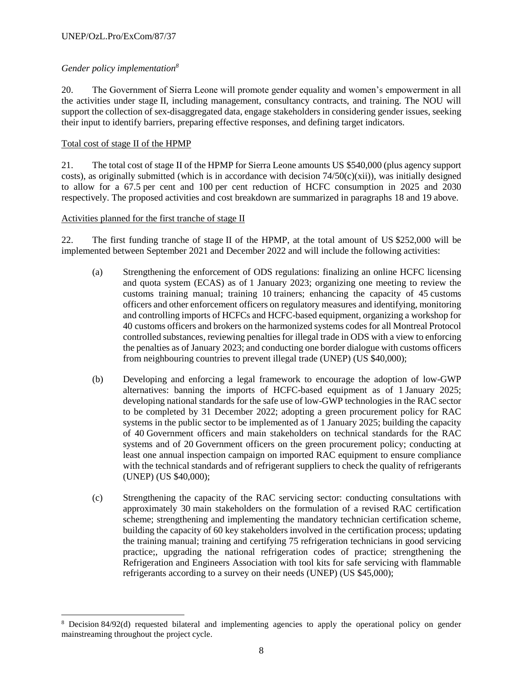### *Gender policy implementation<sup>8</sup>*

20. The Government of Sierra Leone will promote gender equality and women's empowerment in all the activities under stage II, including management, consultancy contracts, and training. The NOU will support the collection of sex-disaggregated data, engage stakeholders in considering gender issues, seeking their input to identify barriers, preparing effective responses, and defining target indicators.

### Total cost of stage II of the HPMP

l

21. The total cost of stage II of the HPMP for Sierra Leone amounts US \$540,000 (plus agency support costs), as originally submitted (which is in accordance with decision  $74/50(c)(xii)$ ), was initially designed to allow for a 67.5 per cent and 100 per cent reduction of HCFC consumption in 2025 and 2030 respectively. The proposed activities and cost breakdown are summarized in paragraphs 18 and 19 above.

### Activities planned for the first tranche of stage II

22. The first funding tranche of stage II of the HPMP, at the total amount of US \$252,000 will be implemented between September 2021 and December 2022 and will include the following activities:

- (a) Strengthening the enforcement of ODS regulations: finalizing an online HCFC licensing and quota system (ECAS) as of 1 January 2023; organizing one meeting to review the customs training manual; training 10 trainers; enhancing the capacity of 45 customs officers and other enforcement officers on regulatory measures and identifying, monitoring and controlling imports of HCFCs and HCFC-based equipment, organizing a workshop for 40 customs officers and brokers on the harmonized systems codes for all Montreal Protocol controlled substances, reviewing penalties for illegal trade in ODS with a view to enforcing the penalties as of January 2023; and conducting one border dialogue with customs officers from neighbouring countries to prevent illegal trade (UNEP) (US \$40,000);
- (b) Developing and enforcing a legal framework to encourage the adoption of low-GWP alternatives: banning the imports of HCFC-based equipment as of 1 January 2025; developing national standards for the safe use of low-GWP technologies in the RAC sector to be completed by 31 December 2022; adopting a green procurement policy for RAC systems in the public sector to be implemented as of 1 January 2025; building the capacity of 40 Government officers and main stakeholders on technical standards for the RAC systems and of 20 Government officers on the green procurement policy; conducting at least one annual inspection campaign on imported RAC equipment to ensure compliance with the technical standards and of refrigerant suppliers to check the quality of refrigerants (UNEP) (US \$40,000);
- (c) Strengthening the capacity of the RAC servicing sector: conducting consultations with approximately 30 main stakeholders on the formulation of a revised RAC certification scheme; strengthening and implementing the mandatory technician certification scheme, building the capacity of 60 key stakeholders involved in the certification process; updating the training manual; training and certifying 75 refrigeration technicians in good servicing practice;, upgrading the national refrigeration codes of practice; strengthening the Refrigeration and Engineers Association with tool kits for safe servicing with flammable refrigerants according to a survey on their needs (UNEP) (US \$45,000);

<sup>8</sup> Decision 84/92(d) requested bilateral and implementing agencies to apply the operational policy on gender mainstreaming throughout the project cycle.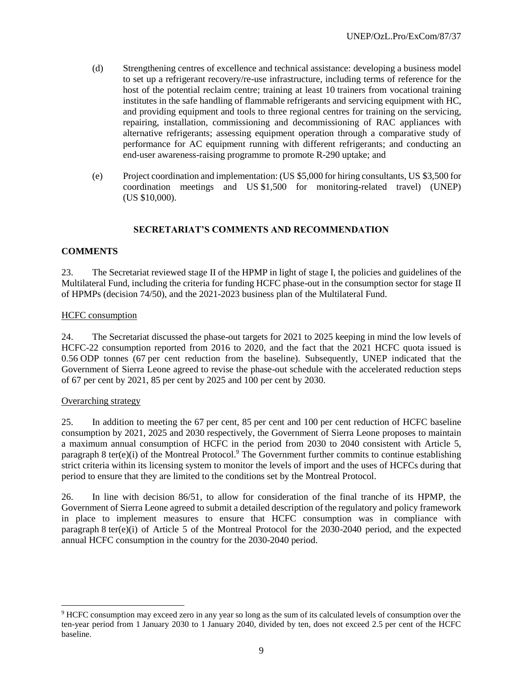- (d) Strengthening centres of excellence and technical assistance: developing a business model to set up a refrigerant recovery/re-use infrastructure, including terms of reference for the host of the potential reclaim centre; training at least 10 trainers from vocational training institutes in the safe handling of flammable refrigerants and servicing equipment with HC, and providing equipment and tools to three regional centres for training on the servicing, repairing, installation, commissioning and decommissioning of RAC appliances with alternative refrigerants; assessing equipment operation through a comparative study of performance for AC equipment running with different refrigerants; and conducting an end-user awareness-raising programme to promote R-290 uptake; and
- (e) Project coordination and implementation: (US \$5,000 for hiring consultants, US \$3,500 for coordination meetings and US \$1,500 for monitoring-related travel) (UNEP) (US \$10,000).

### **SECRETARIAT'S COMMENTS AND RECOMMENDATION**

### **COMMENTS**

23. The Secretariat reviewed stage II of the HPMP in light of stage I, the policies and guidelines of the Multilateral Fund, including the criteria for funding HCFC phase-out in the consumption sector for stage II of HPMPs (decision 74/50), and the 2021-2023 business plan of the Multilateral Fund.

#### HCFC consumption

24. The Secretariat discussed the phase-out targets for 2021 to 2025 keeping in mind the low levels of HCFC-22 consumption reported from 2016 to 2020, and the fact that the 2021 HCFC quota issued is 0.56 ODP tonnes (67 per cent reduction from the baseline). Subsequently, UNEP indicated that the Government of Sierra Leone agreed to revise the phase-out schedule with the accelerated reduction steps of 67 per cent by 2021, 85 per cent by 2025 and 100 per cent by 2030.

### Overarching strategy

l

25. In addition to meeting the 67 per cent, 85 per cent and 100 per cent reduction of HCFC baseline consumption by 2021, 2025 and 2030 respectively, the Government of Sierra Leone proposes to maintain a maximum annual consumption of HCFC in the period from 2030 to 2040 consistent with Article 5, paragraph 8 ter(e)(i) of the Montreal Protocol.<sup>9</sup> The Government further commits to continue establishing strict criteria within its licensing system to monitor the levels of import and the uses of HCFCs during that period to ensure that they are limited to the conditions set by the Montreal Protocol.

26. In line with decision 86/51, to allow for consideration of the final tranche of its HPMP, the Government of Sierra Leone agreed to submit a detailed description of the regulatory and policy framework in place to implement measures to ensure that HCFC consumption was in compliance with paragraph 8 ter(e)(i) of Article 5 of the Montreal Protocol for the 2030-2040 period, and the expected annual HCFC consumption in the country for the 2030-2040 period.

<sup>9</sup> HCFC consumption may exceed zero in any year so long as the sum of its calculated levels of consumption over the ten-year period from 1 January 2030 to 1 January 2040, divided by ten, does not exceed 2.5 per cent of the HCFC baseline.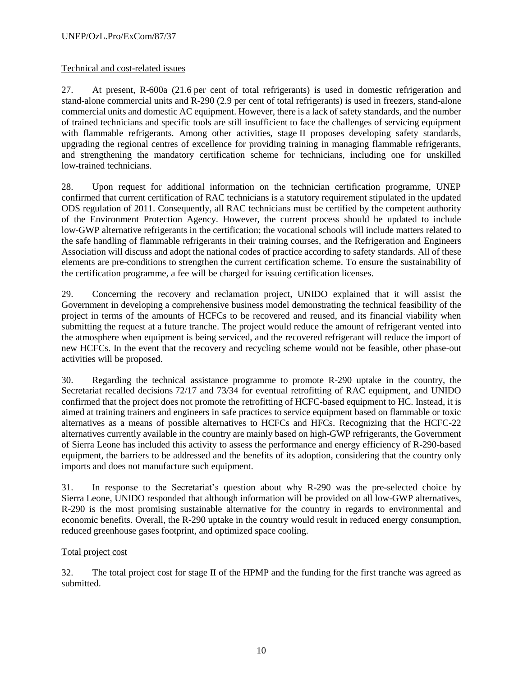### Technical and cost-related issues

27. At present, R-600a (21.6 per cent of total refrigerants) is used in domestic refrigeration and stand-alone commercial units and R-290 (2.9 per cent of total refrigerants) is used in freezers, stand-alone commercial units and domestic AC equipment. However, there is a lack of safety standards, and the number of trained technicians and specific tools are still insufficient to face the challenges of servicing equipment with flammable refrigerants. Among other activities, stage II proposes developing safety standards, upgrading the regional centres of excellence for providing training in managing flammable refrigerants, and strengthening the mandatory certification scheme for technicians, including one for unskilled low-trained technicians.

28. Upon request for additional information on the technician certification programme, UNEP confirmed that current certification of RAC technicians is a statutory requirement stipulated in the updated ODS regulation of 2011. Consequently, all RAC technicians must be certified by the competent authority of the Environment Protection Agency. However, the current process should be updated to include low-GWP alternative refrigerants in the certification; the vocational schools will include matters related to the safe handling of flammable refrigerants in their training courses, and the Refrigeration and Engineers Association will discuss and adopt the national codes of practice according to safety standards. All of these elements are pre-conditions to strengthen the current certification scheme. To ensure the sustainability of the certification programme, a fee will be charged for issuing certification licenses.

29. Concerning the recovery and reclamation project, UNIDO explained that it will assist the Government in developing a comprehensive business model demonstrating the technical feasibility of the project in terms of the amounts of HCFCs to be recovered and reused, and its financial viability when submitting the request at a future tranche. The project would reduce the amount of refrigerant vented into the atmosphere when equipment is being serviced, and the recovered refrigerant will reduce the import of new HCFCs. In the event that the recovery and recycling scheme would not be feasible, other phase-out activities will be proposed.

30. Regarding the technical assistance programme to promote R-290 uptake in the country, the Secretariat recalled decisions 72/17 and 73/34 for eventual retrofitting of RAC equipment, and UNIDO confirmed that the project does not promote the retrofitting of HCFC-based equipment to HC. Instead, it is aimed at training trainers and engineers in safe practices to service equipment based on flammable or toxic alternatives as a means of possible alternatives to HCFCs and HFCs. Recognizing that the HCFC-22 alternatives currently available in the country are mainly based on high-GWP refrigerants, the Government of Sierra Leone has included this activity to assess the performance and energy efficiency of R-290-based equipment, the barriers to be addressed and the benefits of its adoption, considering that the country only imports and does not manufacture such equipment.

31. In response to the Secretariat's question about why R-290 was the pre-selected choice by Sierra Leone, UNIDO responded that although information will be provided on all low-GWP alternatives, R-290 is the most promising sustainable alternative for the country in regards to environmental and economic benefits. Overall, the R-290 uptake in the country would result in reduced energy consumption, reduced greenhouse gases footprint, and optimized space cooling.

### Total project cost

32. The total project cost for stage II of the HPMP and the funding for the first tranche was agreed as submitted.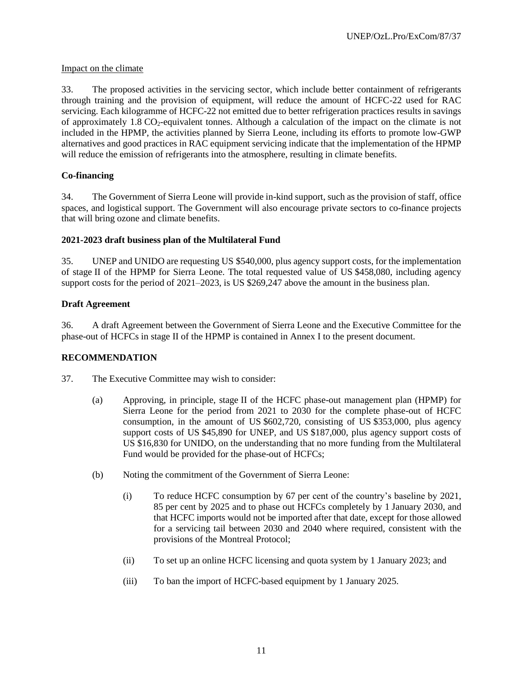### Impact on the climate

33. The proposed activities in the servicing sector, which include better containment of refrigerants through training and the provision of equipment, will reduce the amount of HCFC-22 used for RAC servicing. Each kilogramme of HCFC-22 not emitted due to better refrigeration practices results in savings of approximately 1.8 CO<sub>2</sub>-equivalent tonnes. Although a calculation of the impact on the climate is not included in the HPMP, the activities planned by Sierra Leone, including its efforts to promote low-GWP alternatives and good practices in RAC equipment servicing indicate that the implementation of the HPMP will reduce the emission of refrigerants into the atmosphere, resulting in climate benefits.

# **Co-financing**

34. The Government of Sierra Leone will provide in-kind support, such as the provision of staff, office spaces, and logistical support. The Government will also encourage private sectors to co-finance projects that will bring ozone and climate benefits.

### **2021-2023 draft business plan of the Multilateral Fund**

35. UNEP and UNIDO are requesting US \$540,000, plus agency support costs, for the implementation of stage II of the HPMP for Sierra Leone. The total requested value of US \$458,080, including agency support costs for the period of 2021–2023, is US \$269,247 above the amount in the business plan.

# **Draft Agreement**

36. A draft Agreement between the Government of Sierra Leone and the Executive Committee for the phase-out of HCFCs in stage II of the HPMP is contained in Annex I to the present document.

# **RECOMMENDATION**

- 37. The Executive Committee may wish to consider:
	- (a) Approving, in principle, stage II of the HCFC phase-out management plan (HPMP) for Sierra Leone for the period from 2021 to 2030 for the complete phase-out of HCFC consumption, in the amount of US \$602,720, consisting of US \$353,000, plus agency support costs of US \$45,890 for UNEP, and US \$187,000, plus agency support costs of US \$16,830 for UNIDO, on the understanding that no more funding from the Multilateral Fund would be provided for the phase-out of HCFCs;
	- (b) Noting the commitment of the Government of Sierra Leone:
		- (i) To reduce HCFC consumption by 67 per cent of the country's baseline by 2021, 85 per cent by 2025 and to phase out HCFCs completely by 1 January 2030, and that HCFC imports would not be imported after that date, except for those allowed for a servicing tail between 2030 and 2040 where required, consistent with the provisions of the Montreal Protocol;
		- (ii) To set up an online HCFC licensing and quota system by 1 January 2023; and
		- (iii) To ban the import of HCFC-based equipment by 1 January 2025.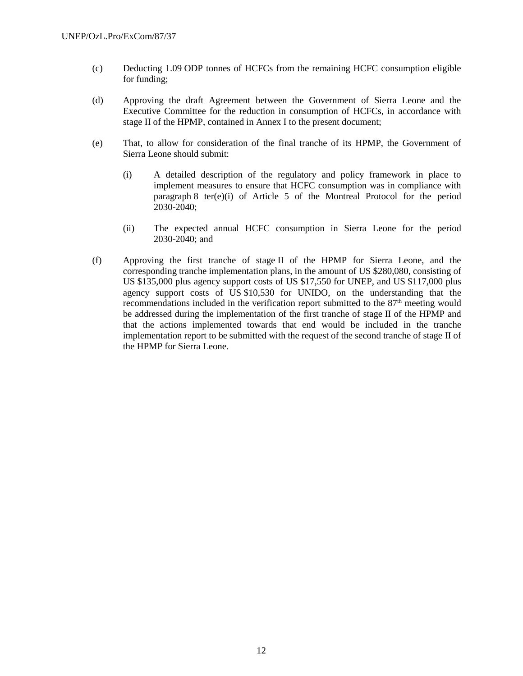- (c) Deducting 1.09 ODP tonnes of HCFCs from the remaining HCFC consumption eligible for funding;
- (d) Approving the draft Agreement between the Government of Sierra Leone and the Executive Committee for the reduction in consumption of HCFCs, in accordance with stage II of the HPMP, contained in Annex I to the present document;
- (e) That, to allow for consideration of the final tranche of its HPMP, the Government of Sierra Leone should submit:
	- (i) A detailed description of the regulatory and policy framework in place to implement measures to ensure that HCFC consumption was in compliance with paragraph 8 ter(e)(i) of Article 5 of the Montreal Protocol for the period 2030-2040;
	- (ii) The expected annual HCFC consumption in Sierra Leone for the period 2030-2040; and
- (f) Approving the first tranche of stage II of the HPMP for Sierra Leone, and the corresponding tranche implementation plans, in the amount of US \$280,080, consisting of US \$135,000 plus agency support costs of US \$17,550 for UNEP, and US \$117,000 plus agency support costs of US \$10,530 for UNIDO, on the understanding that the recommendations included in the verification report submitted to the 87<sup>th</sup> meeting would be addressed during the implementation of the first tranche of stage II of the HPMP and that the actions implemented towards that end would be included in the tranche implementation report to be submitted with the request of the second tranche of stage II of the HPMP for Sierra Leone.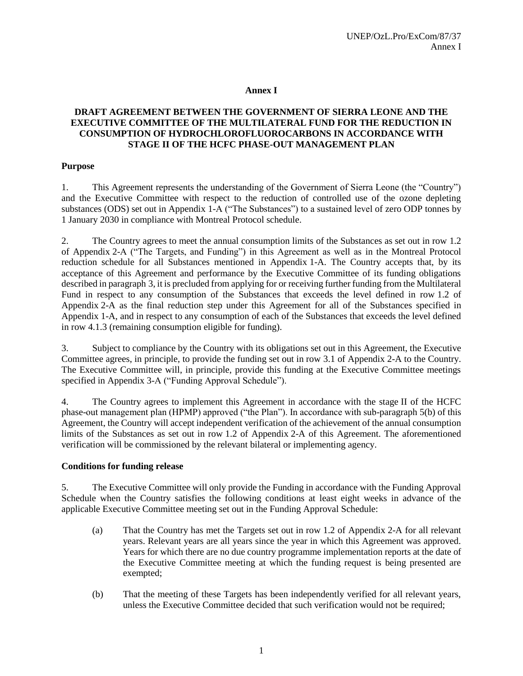### **Annex I**

### **DRAFT AGREEMENT BETWEEN THE GOVERNMENT OF SIERRA LEONE AND THE EXECUTIVE COMMITTEE OF THE MULTILATERAL FUND FOR THE REDUCTION IN CONSUMPTION OF HYDROCHLOROFLUOROCARBONS IN ACCORDANCE WITH STAGE II OF THE HCFC PHASE-OUT MANAGEMENT PLAN**

### **Purpose**

1. This Agreement represents the understanding of the Government of Sierra Leone (the "Country") and the Executive Committee with respect to the reduction of controlled use of the ozone depleting substances (ODS) set out in Appendix 1-A ("The Substances") to a sustained level of zero ODP tonnes by 1 January 2030 in compliance with Montreal Protocol schedule.

2. The Country agrees to meet the annual consumption limits of the Substances as set out in row 1.2 of Appendix 2-A ("The Targets, and Funding") in this Agreement as well as in the Montreal Protocol reduction schedule for all Substances mentioned in Appendix 1-A. The Country accepts that, by its acceptance of this Agreement and performance by the Executive Committee of its funding obligations described in paragraph 3, it is precluded from applying for or receiving further funding from the Multilateral Fund in respect to any consumption of the Substances that exceeds the level defined in row 1.2 of Appendix 2-A as the final reduction step under this Agreement for all of the Substances specified in Appendix 1-A, and in respect to any consumption of each of the Substances that exceeds the level defined in row 4.1.3 (remaining consumption eligible for funding).

3. Subject to compliance by the Country with its obligations set out in this Agreement, the Executive Committee agrees, in principle, to provide the funding set out in row 3.1 of Appendix 2-A to the Country. The Executive Committee will, in principle, provide this funding at the Executive Committee meetings specified in Appendix 3-A ("Funding Approval Schedule").

4. The Country agrees to implement this Agreement in accordance with the stage II of the HCFC phase-out management plan (HPMP) approved ("the Plan"). In accordance with sub-paragraph 5(b) of this Agreement, the Country will accept independent verification of the achievement of the annual consumption limits of the Substances as set out in row 1.2 of Appendix 2-A of this Agreement. The aforementioned verification will be commissioned by the relevant bilateral or implementing agency.

### **Conditions for funding release**

5. The Executive Committee will only provide the Funding in accordance with the Funding Approval Schedule when the Country satisfies the following conditions at least eight weeks in advance of the applicable Executive Committee meeting set out in the Funding Approval Schedule:

- (a) That the Country has met the Targets set out in row 1.2 of Appendix 2-A for all relevant years. Relevant years are all years since the year in which this Agreement was approved. Years for which there are no due country programme implementation reports at the date of the Executive Committee meeting at which the funding request is being presented are exempted;
- (b) That the meeting of these Targets has been independently verified for all relevant years, unless the Executive Committee decided that such verification would not be required;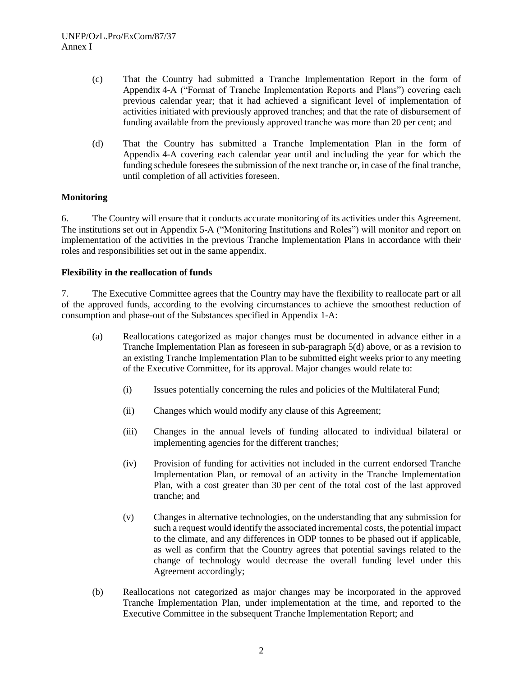- (c) That the Country had submitted a Tranche Implementation Report in the form of Appendix 4-A ("Format of Tranche Implementation Reports and Plans") covering each previous calendar year; that it had achieved a significant level of implementation of activities initiated with previously approved tranches; and that the rate of disbursement of funding available from the previously approved tranche was more than 20 per cent; and
- (d) That the Country has submitted a Tranche Implementation Plan in the form of Appendix 4-A covering each calendar year until and including the year for which the funding schedule foresees the submission of the next tranche or, in case of the final tranche, until completion of all activities foreseen.

### **Monitoring**

6. The Country will ensure that it conducts accurate monitoring of its activities under this Agreement. The institutions set out in Appendix 5-A ("Monitoring Institutions and Roles") will monitor and report on implementation of the activities in the previous Tranche Implementation Plans in accordance with their roles and responsibilities set out in the same appendix.

### **Flexibility in the reallocation of funds**

7. The Executive Committee agrees that the Country may have the flexibility to reallocate part or all of the approved funds, according to the evolving circumstances to achieve the smoothest reduction of consumption and phase-out of the Substances specified in Appendix 1-A:

- (a) Reallocations categorized as major changes must be documented in advance either in a Tranche Implementation Plan as foreseen in sub-paragraph 5(d) above, or as a revision to an existing Tranche Implementation Plan to be submitted eight weeks prior to any meeting of the Executive Committee, for its approval. Major changes would relate to:
	- (i) Issues potentially concerning the rules and policies of the Multilateral Fund;
	- (ii) Changes which would modify any clause of this Agreement;
	- (iii) Changes in the annual levels of funding allocated to individual bilateral or implementing agencies for the different tranches;
	- (iv) Provision of funding for activities not included in the current endorsed Tranche Implementation Plan, or removal of an activity in the Tranche Implementation Plan, with a cost greater than 30 per cent of the total cost of the last approved tranche; and
	- (v) Changes in alternative technologies, on the understanding that any submission for such a request would identify the associated incremental costs, the potential impact to the climate, and any differences in ODP tonnes to be phased out if applicable, as well as confirm that the Country agrees that potential savings related to the change of technology would decrease the overall funding level under this Agreement accordingly;
- (b) Reallocations not categorized as major changes may be incorporated in the approved Tranche Implementation Plan, under implementation at the time, and reported to the Executive Committee in the subsequent Tranche Implementation Report; and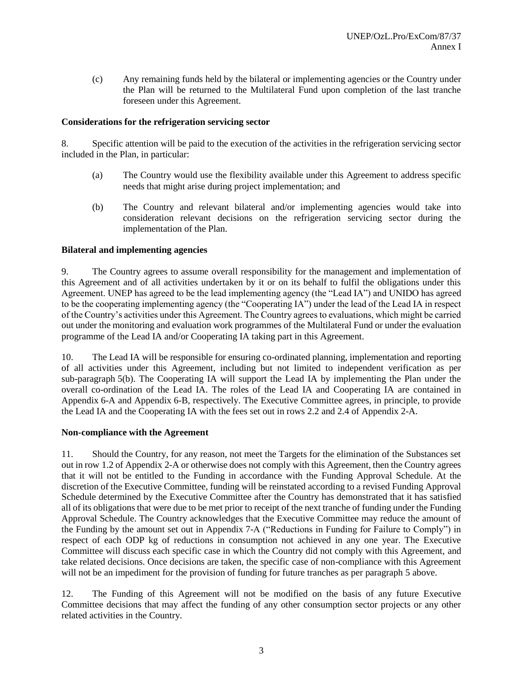(c) Any remaining funds held by the bilateral or implementing agencies or the Country under the Plan will be returned to the Multilateral Fund upon completion of the last tranche foreseen under this Agreement.

### **Considerations for the refrigeration servicing sector**

8. Specific attention will be paid to the execution of the activities in the refrigeration servicing sector included in the Plan, in particular:

- (a) The Country would use the flexibility available under this Agreement to address specific needs that might arise during project implementation; and
- (b) The Country and relevant bilateral and/or implementing agencies would take into consideration relevant decisions on the refrigeration servicing sector during the implementation of the Plan.

#### **Bilateral and implementing agencies**

9. The Country agrees to assume overall responsibility for the management and implementation of this Agreement and of all activities undertaken by it or on its behalf to fulfil the obligations under this Agreement. UNEP has agreed to be the lead implementing agency (the "Lead IA") and UNIDO has agreed to be the cooperating implementing agency (the "Cooperating IA") under the lead of the Lead IA in respect of the Country's activities under this Agreement. The Country agrees to evaluations, which might be carried out under the monitoring and evaluation work programmes of the Multilateral Fund or under the evaluation programme of the Lead IA and/or Cooperating IA taking part in this Agreement.

10. The Lead IA will be responsible for ensuring co-ordinated planning, implementation and reporting of all activities under this Agreement, including but not limited to independent verification as per sub-paragraph 5(b). The Cooperating IA will support the Lead IA by implementing the Plan under the overall co-ordination of the Lead IA. The roles of the Lead IA and Cooperating IA are contained in Appendix 6-A and Appendix 6-B, respectively. The Executive Committee agrees, in principle, to provide the Lead IA and the Cooperating IA with the fees set out in rows 2.2 and 2.4 of Appendix 2-A.

#### **Non-compliance with the Agreement**

11. Should the Country, for any reason, not meet the Targets for the elimination of the Substances set out in row 1.2 of Appendix 2-A or otherwise does not comply with this Agreement, then the Country agrees that it will not be entitled to the Funding in accordance with the Funding Approval Schedule. At the discretion of the Executive Committee, funding will be reinstated according to a revised Funding Approval Schedule determined by the Executive Committee after the Country has demonstrated that it has satisfied all of its obligations that were due to be met prior to receipt of the next tranche of funding under the Funding Approval Schedule. The Country acknowledges that the Executive Committee may reduce the amount of the Funding by the amount set out in Appendix 7-A ("Reductions in Funding for Failure to Comply") in respect of each ODP kg of reductions in consumption not achieved in any one year. The Executive Committee will discuss each specific case in which the Country did not comply with this Agreement, and take related decisions. Once decisions are taken, the specific case of non-compliance with this Agreement will not be an impediment for the provision of funding for future tranches as per paragraph 5 above.

12. The Funding of this Agreement will not be modified on the basis of any future Executive Committee decisions that may affect the funding of any other consumption sector projects or any other related activities in the Country.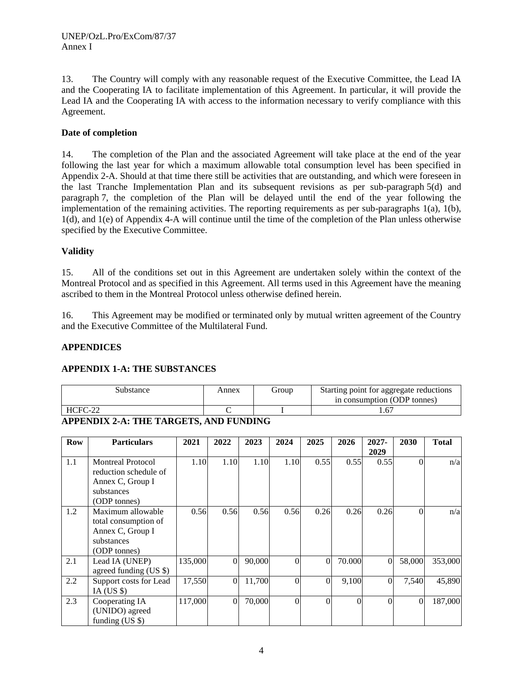13. The Country will comply with any reasonable request of the Executive Committee, the Lead IA and the Cooperating IA to facilitate implementation of this Agreement. In particular, it will provide the Lead IA and the Cooperating IA with access to the information necessary to verify compliance with this Agreement.

### **Date of completion**

14. The completion of the Plan and the associated Agreement will take place at the end of the year following the last year for which a maximum allowable total consumption level has been specified in Appendix 2-A. Should at that time there still be activities that are outstanding, and which were foreseen in the last Tranche Implementation Plan and its subsequent revisions as per sub-paragraph 5(d) and paragraph 7, the completion of the Plan will be delayed until the end of the year following the implementation of the remaining activities. The reporting requirements as per sub-paragraphs 1(a), 1(b), 1(d), and 1(e) of Appendix 4-A will continue until the time of the completion of the Plan unless otherwise specified by the Executive Committee.

### **Validity**

15. All of the conditions set out in this Agreement are undertaken solely within the context of the Montreal Protocol and as specified in this Agreement. All terms used in this Agreement have the meaning ascribed to them in the Montreal Protocol unless otherwise defined herein.

16. This Agreement may be modified or terminated only by mutual written agreement of the Country and the Executive Committee of the Multilateral Fund.

### **APPENDICES**

### **APPENDIX 1-A: THE SUBSTANCES**

| substance | Annex | Group | Starting point for aggregate reductions<br>in consumption (ODP tonnes) |
|-----------|-------|-------|------------------------------------------------------------------------|
| HCFC-22   |       |       |                                                                        |

### **APPENDIX 2-A: THE TARGETS, AND FUNDING**

| Row | <b>Particulars</b>                                                                                  | 2021    | 2022             | 2023   | 2024     | 2025           | 2026     | $2027 -$<br>2029 | 2030     | <b>Total</b> |
|-----|-----------------------------------------------------------------------------------------------------|---------|------------------|--------|----------|----------------|----------|------------------|----------|--------------|
| 1.1 | <b>Montreal Protocol</b><br>reduction schedule of<br>Annex C, Group I<br>substances<br>(ODP tonnes) | 1.10    | 1.10             | 1.10   | 1.10     | 0.55           | 0.55     | 0.55             | $\Omega$ | n/a          |
| 1.2 | Maximum allowable<br>total consumption of<br>Annex C, Group I<br>substances<br>(ODP tonnes)         | 0.56    | 0.56             | 0.56   | 0.56     | 0.26           | 0.26     | 0.26             | $\Omega$ | n/a          |
| 2.1 | Lead IA (UNEP)<br>agreed funding (US \$)                                                            | 135,000 | $\mathbf{0}$     | 90,000 | $\Omega$ | $\overline{0}$ | 70.000   | 0                | 58,000   | 353,000      |
| 2.2 | Support costs for Lead<br>IA (US $\$ )                                                              | 17,550  | $\boldsymbol{0}$ | 11,700 | $\Omega$ | $\Omega$       | 9,100    | $\Omega$         | 7,540    | 45,890       |
| 2.3 | Cooperating IA<br>(UNIDO) agreed<br>funding $(US \$                                                 | 117,000 | $\mathbf{0}$     | 70,000 | $\Omega$ | $\Omega$       | $\Omega$ | $\Omega$         | $\theta$ | 187,000      |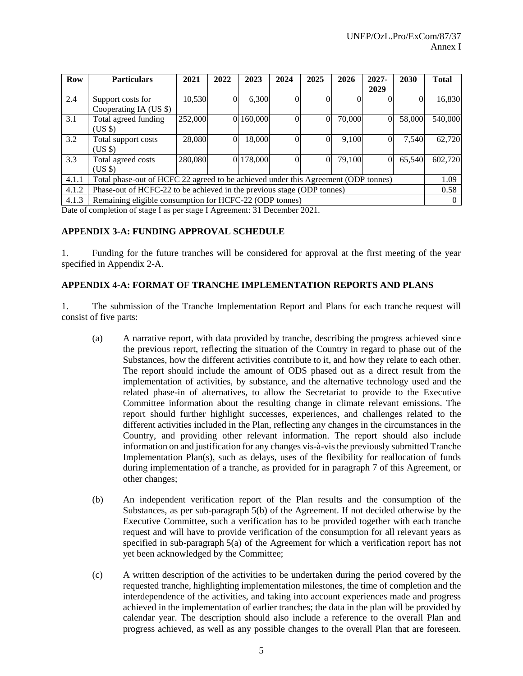| Row   | <b>Particulars</b>                                                                                 | 2021    | 2022     | 2023      | 2024     | 2025 | 2026   | 2027-   | 2030   | <b>Total</b> |
|-------|----------------------------------------------------------------------------------------------------|---------|----------|-----------|----------|------|--------|---------|--------|--------------|
|       |                                                                                                    |         |          |           |          |      |        | 2029    |        |              |
| 2.4   | Support costs for                                                                                  | 10,530  | $\theta$ | 6,300     |          |      |        |         |        | 16,830       |
|       | Cooperating IA (US \$)                                                                             |         |          |           |          |      |        |         |        |              |
| 3.1   | Total agreed funding<br>$(US \$                                                                    | 252,000 |          | 0 160,000 | $\Omega$ | 0    | 70,000 |         | 58,000 | 540,000      |
| 3.2   | 18,000<br>28,080<br>$\overline{0}$<br>9,100<br>7.540<br>$\Omega$<br>Total support costs<br>$(US \$ |         |          |           |          |      |        |         | 62,720 |              |
| 3.3   | 0 178,000<br>280,080<br>79,100<br>65.540<br>0<br>$\Omega$<br>Total agreed costs<br>$(US \$         |         |          |           |          |      |        | 602,720 |        |              |
| 4.1.1 | Total phase-out of HCFC 22 agreed to be achieved under this Agreement (ODP tonnes)                 |         |          |           |          |      |        |         |        | 1.09         |
| 4.1.2 | Phase-out of HCFC-22 to be achieved in the previous stage (ODP tonnes)                             |         |          |           |          |      |        |         | 0.58   |              |
| 4.1.3 | Remaining eligible consumption for HCFC-22 (ODP tonnes)                                            |         |          |           |          |      |        |         |        |              |

Date of completion of stage I as per stage I Agreement: 31 December 2021.

#### **APPENDIX 3-A: FUNDING APPROVAL SCHEDULE**

1. Funding for the future tranches will be considered for approval at the first meeting of the year specified in Appendix 2-A.

#### **APPENDIX 4-A: FORMAT OF TRANCHE IMPLEMENTATION REPORTS AND PLANS**

1. The submission of the Tranche Implementation Report and Plans for each tranche request will consist of five parts:

- (a) A narrative report, with data provided by tranche, describing the progress achieved since the previous report, reflecting the situation of the Country in regard to phase out of the Substances, how the different activities contribute to it, and how they relate to each other. The report should include the amount of ODS phased out as a direct result from the implementation of activities, by substance, and the alternative technology used and the related phase-in of alternatives, to allow the Secretariat to provide to the Executive Committee information about the resulting change in climate relevant emissions. The report should further highlight successes, experiences, and challenges related to the different activities included in the Plan, reflecting any changes in the circumstances in the Country, and providing other relevant information. The report should also include information on and justification for any changes vis-à-vis the previously submitted Tranche Implementation Plan(s), such as delays, uses of the flexibility for reallocation of funds during implementation of a tranche, as provided for in paragraph 7 of this Agreement, or other changes;
- (b) An independent verification report of the Plan results and the consumption of the Substances, as per sub-paragraph 5(b) of the Agreement. If not decided otherwise by the Executive Committee, such a verification has to be provided together with each tranche request and will have to provide verification of the consumption for all relevant years as specified in sub-paragraph 5(a) of the Agreement for which a verification report has not yet been acknowledged by the Committee;
- (c) A written description of the activities to be undertaken during the period covered by the requested tranche, highlighting implementation milestones, the time of completion and the interdependence of the activities, and taking into account experiences made and progress achieved in the implementation of earlier tranches; the data in the plan will be provided by calendar year. The description should also include a reference to the overall Plan and progress achieved, as well as any possible changes to the overall Plan that are foreseen.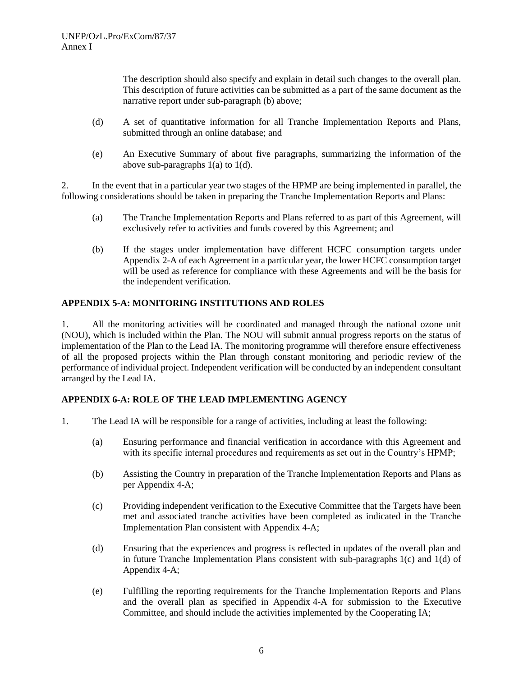The description should also specify and explain in detail such changes to the overall plan. This description of future activities can be submitted as a part of the same document as the narrative report under sub-paragraph (b) above;

- (d) A set of quantitative information for all Tranche Implementation Reports and Plans, submitted through an online database; and
- (e) An Executive Summary of about five paragraphs, summarizing the information of the above sub-paragraphs 1(a) to 1(d).

2. In the event that in a particular year two stages of the HPMP are being implemented in parallel, the following considerations should be taken in preparing the Tranche Implementation Reports and Plans:

- (a) The Tranche Implementation Reports and Plans referred to as part of this Agreement, will exclusively refer to activities and funds covered by this Agreement; and
- (b) If the stages under implementation have different HCFC consumption targets under Appendix 2-A of each Agreement in a particular year, the lower HCFC consumption target will be used as reference for compliance with these Agreements and will be the basis for the independent verification.

### **APPENDIX 5-A: MONITORING INSTITUTIONS AND ROLES**

1. All the monitoring activities will be coordinated and managed through the national ozone unit (NOU), which is included within the Plan. The NOU will submit annual progress reports on the status of implementation of the Plan to the Lead IA. The monitoring programme will therefore ensure effectiveness of all the proposed projects within the Plan through constant monitoring and periodic review of the performance of individual project. Independent verification will be conducted by an independent consultant arranged by the Lead IA.

### **APPENDIX 6-A: ROLE OF THE LEAD IMPLEMENTING AGENCY**

- 1. The Lead IA will be responsible for a range of activities, including at least the following:
	- (a) Ensuring performance and financial verification in accordance with this Agreement and with its specific internal procedures and requirements as set out in the Country's HPMP;
	- (b) Assisting the Country in preparation of the Tranche Implementation Reports and Plans as per Appendix 4-A;
	- (c) Providing independent verification to the Executive Committee that the Targets have been met and associated tranche activities have been completed as indicated in the Tranche Implementation Plan consistent with Appendix 4-A;
	- (d) Ensuring that the experiences and progress is reflected in updates of the overall plan and in future Tranche Implementation Plans consistent with sub-paragraphs 1(c) and 1(d) of Appendix 4-A;
	- (e) Fulfilling the reporting requirements for the Tranche Implementation Reports and Plans and the overall plan as specified in Appendix 4-A for submission to the Executive Committee, and should include the activities implemented by the Cooperating IA;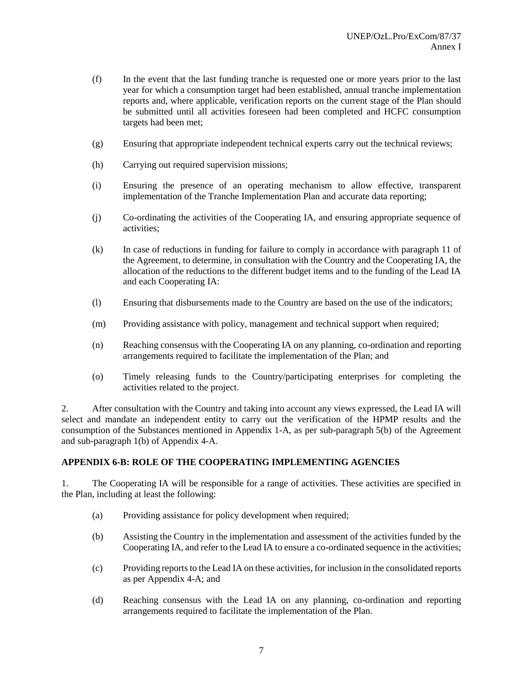- (f) In the event that the last funding tranche is requested one or more years prior to the last year for which a consumption target had been established, annual tranche implementation reports and, where applicable, verification reports on the current stage of the Plan should be submitted until all activities foreseen had been completed and HCFC consumption targets had been met;
- (g) Ensuring that appropriate independent technical experts carry out the technical reviews;
- (h) Carrying out required supervision missions;
- (i) Ensuring the presence of an operating mechanism to allow effective, transparent implementation of the Tranche Implementation Plan and accurate data reporting;
- (j) Co-ordinating the activities of the Cooperating IA, and ensuring appropriate sequence of activities;
- (k) In case of reductions in funding for failure to comply in accordance with paragraph 11 of the Agreement, to determine, in consultation with the Country and the Cooperating IA, the allocation of the reductions to the different budget items and to the funding of the Lead IA and each Cooperating IA:
- (l) Ensuring that disbursements made to the Country are based on the use of the indicators;
- (m) Providing assistance with policy, management and technical support when required;
- (n) Reaching consensus with the Cooperating IA on any planning, co-ordination and reporting arrangements required to facilitate the implementation of the Plan; and
- (o) Timely releasing funds to the Country/participating enterprises for completing the activities related to the project.

2. After consultation with the Country and taking into account any views expressed, the Lead IA will select and mandate an independent entity to carry out the verification of the HPMP results and the consumption of the Substances mentioned in Appendix 1-A, as per sub-paragraph 5(b) of the Agreement and sub-paragraph 1(b) of Appendix 4-A.

### **APPENDIX 6-B: ROLE OF THE COOPERATING IMPLEMENTING AGENCIES**

1. The Cooperating IA will be responsible for a range of activities. These activities are specified in the Plan, including at least the following:

- (a) Providing assistance for policy development when required;
- (b) Assisting the Country in the implementation and assessment of the activities funded by the Cooperating IA, and refer to the Lead IA to ensure a co-ordinated sequence in the activities;
- (c) Providing reports to the Lead IA on these activities, for inclusion in the consolidated reports as per Appendix 4-A; and
- (d) Reaching consensus with the Lead IA on any planning, co-ordination and reporting arrangements required to facilitate the implementation of the Plan.